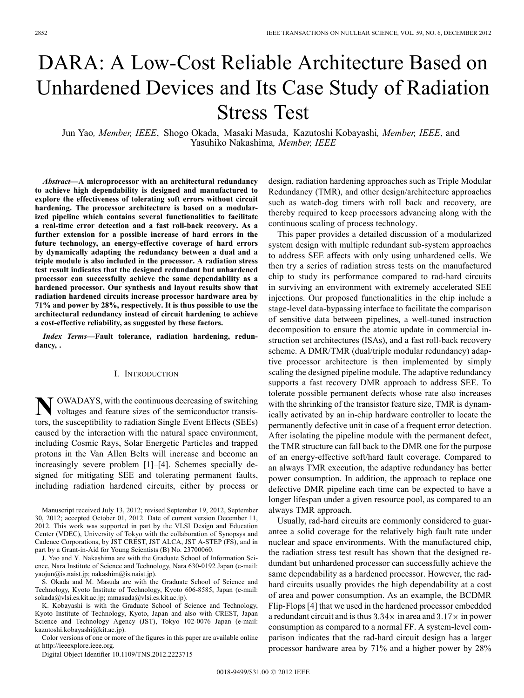# DARA: A Low-Cost Reliable Architecture Based on Unhardened Devices and Its Case Study of Radiation Stress Test

Jun Yao*, Member, IEEE*, Shogo Okada, Masaki Masuda, Kazutoshi Kobayashi*, Member, IEEE*, and Yasuhiko Nakashima*, Member, IEEE*

*Abstract—***A microprocessor with an architectural redundancy to achieve high dependability is designed and manufactured to explore the effectiveness of tolerating soft errors without circuit hardening. The processor architecture is based on a modularized pipeline which contains several functionalities to facilitate a real-time error detection and a fast roll-back recovery. As a further extension for a possible increase of hard errors in the future technology, an energy-effective coverage of hard errors by dynamically adapting the redundancy between a dual and a triple module is also included in the processor. A radiation stress test result indicates that the designed redundant but unhardened processor can successfully achieve the same dependability as a hardened processor. Our synthesis and layout results show that radiation hardened circuits increase processor hardware area by 71% and power by 28%, respectively. It is thus possible to use the architectural redundancy instead of circuit hardening to achieve a cost-effective reliability, as suggested by these factors.**

*Index Terms—***Fault tolerance, radiation hardening, redundancy, .**

## I. INTRODUCTION

**N**OWADAYS, with the continuous decreasing of switching voltages and feature sizes of the semiconductor transistors, the susceptibility to radiation Single Event Effects (SEEs) caused by the interaction with the natural space environment, including Cosmic Rays, Solar Energetic Particles and trapped protons in the Van Allen Belts will increase and become an increasingly severe problem [1]–[4]. Schemes specially designed for mitigating SEE and tolerating permanent faults, including radiation hardened circuits, either by process or

Manuscript received July 13, 2012; revised September 19, 2012, September 30, 2012; accepted October 01, 2012. Date of current version December 11, 2012. This work was supported in part by the VLSI Design and Education Center (VDEC), University of Tokyo with the collaboration of Synopsys and Cadence Corporations, by JST CREST, JST ALCA, JST A-STEP (FS), and in part by a Grant-in-Aid for Young Scientists (B) No. 23700060.

J. Yao and Y. Nakashima are with the Graduate School of Information Science, Nara Institute of Science and Technology, Nara 630-0192 Japan (e-mail: yaojun@is.naist.jp; nakashim@is.naist.jp).

S. Okada and M. Masuda are with the Graduate School of Science and Technology, Kyoto Institute of Technology, Kyoto 606-8585, Japan (e-mail: sokada@vlsi.es.kit.ac.jp; mmasuda@vlsi.es.kit.ac.jp).

K. Kobayashi is with the Graduate School of Science and Technology, Kyoto Institute of Technology, Kyoto, Japan and also with CREST, Japan Science and Technology Agency (JST), Tokyo 102-0076 Japan (e-mail: kazutoshi.kobayashi@kit.ac.jp).

Color versions of one or more of the figures in this paper are available online at http://ieeexplore.ieee.org.

Digital Object Identifier 10.1109/TNS.2012.2223715

design, radiation hardening approaches such as Triple Modular Redundancy (TMR), and other design/architecture approaches such as watch-dog timers with roll back and recovery, are thereby required to keep processors advancing along with the continuous scaling of process technology.

This paper provides a detailed discussion of a modularized system design with multiple redundant sub-system approaches to address SEE affects with only using unhardened cells. We then try a series of radiation stress tests on the manufactured chip to study its performance compared to rad-hard circuits in surviving an environment with extremely accelerated SEE injections. Our proposed functionalities in the chip include a stage-level data-bypassing interface to facilitate the comparison of sensitive data between pipelines, a well-tuned instruction decomposition to ensure the atomic update in commercial instruction set architectures (ISAs), and a fast roll-back recovery scheme. A DMR/TMR (dual/triple modular redundancy) adaptive processor architecture is then implemented by simply scaling the designed pipeline module. The adaptive redundancy supports a fast recovery DMR approach to address SEE. To tolerate possible permanent defects whose rate also increases with the shrinking of the transistor feature size, TMR is dynamically activated by an in-chip hardware controller to locate the permanently defective unit in case of a frequent error detection. After isolating the pipeline module with the permanent defect, the TMR structure can fall back to the DMR one for the purpose of an energy-effective soft/hard fault coverage. Compared to an always TMR execution, the adaptive redundancy has better power consumption. In addition, the approach to replace one defective DMR pipeline each time can be expected to have a longer lifespan under a given resource pool, as compared to an always TMR approach.

Usually, rad-hard circuits are commonly considered to guarantee a solid coverage for the relatively high fault rate under nuclear and space environments. With the manufactured chip, the radiation stress test result has shown that the designed redundant but unhardened processor can successfully achieve the same dependability as a hardened processor. However, the radhard circuits usually provides the high dependability at a cost of area and power consumption. As an example, the BCDMR Flip-Flops [4] that we used in the hardened processor embedded a redundant circuit and is thus  $3.34 \times$  in area and  $3.17 \times$  in power consumption as compared to a normal FF. A system-level comparison indicates that the rad-hard circuit design has a larger processor hardware area by 71% and a higher power by 28%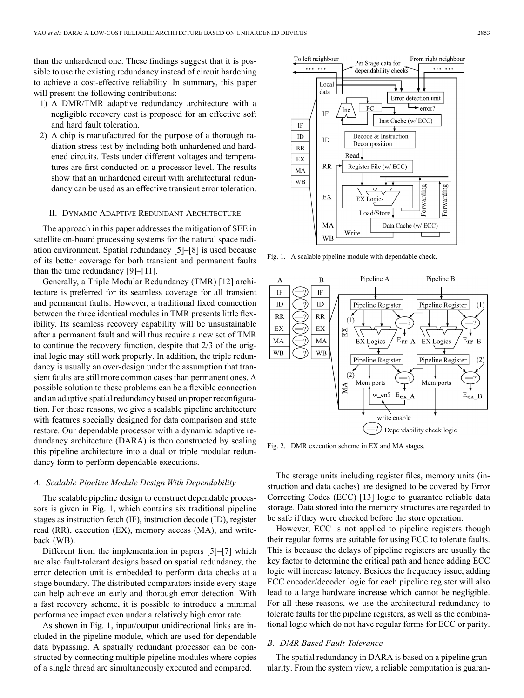than the unhardened one. These findings suggest that it is possible to use the existing redundancy instead of circuit hardening to achieve a cost-effective reliability. In summary, this paper will present the following contributions:

- 1) A DMR/TMR adaptive redundancy architecture with a negligible recovery cost is proposed for an effective soft and hard fault toleration.
- 2) A chip is manufactured for the purpose of a thorough radiation stress test by including both unhardened and hardened circuits. Tests under different voltages and temperatures are first conducted on a processor level. The results show that an unhardened circuit with architectural redundancy can be used as an effective transient error toleration.

### II. DYNAMIC ADAPTIVE REDUNDANT ARCHITECTURE

The approach in this paper addresses the mitigation of SEE in satellite on-board processing systems for the natural space radiation environment. Spatial redundancy [5]–[8] is used because of its better coverage for both transient and permanent faults than the time redundancy [9]–[11].

Generally, a Triple Modular Redundancy (TMR) [12] architecture is preferred for its seamless coverage for all transient and permanent faults. However, a traditional fixed connection between the three identical modules in TMR presents little flexibility. Its seamless recovery capability will be unsustainable after a permanent fault and will thus require a new set of TMR to continue the recovery function, despite that 2/3 of the original logic may still work properly. In addition, the triple redundancy is usually an over-design under the assumption that transient faults are still more common cases than permanent ones. A possible solution to these problems can be a flexible connection and an adaptive spatial redundancy based on proper reconfiguration. For these reasons, we give a scalable pipeline architecture with features specially designed for data comparison and state restore. Our dependable processor with a dynamic adaptive redundancy architecture (DARA) is then constructed by scaling this pipeline architecture into a dual or triple modular redundancy form to perform dependable executions.

### *A. Scalable Pipeline Module Design With Dependability*

The scalable pipeline design to construct dependable processors is given in Fig. 1, which contains six traditional pipeline stages as instruction fetch (IF), instruction decode (ID), register read (RR), execution (EX), memory access (MA), and writeback (WB).

Different from the implementation in papers [5]–[7] which are also fault-tolerant designs based on spatial redundancy, the error detection unit is embedded to perform data checks at a stage boundary. The distributed comparators inside every stage can help achieve an early and thorough error detection. With a fast recovery scheme, it is possible to introduce a minimal performance impact even under a relatively high error rate.

As shown in Fig. 1, input/output unidirectional links are included in the pipeline module, which are used for dependable data bypassing. A spatially redundant processor can be constructed by connecting multiple pipeline modules where copies of a single thread are simultaneously executed and compared.



Fig. 1. A scalable pipeline module with dependable check.



Fig. 2. DMR execution scheme in EX and MA stages.

The storage units including register files, memory units (instruction and data caches) are designed to be covered by Error Correcting Codes (ECC) [13] logic to guarantee reliable data storage. Data stored into the memory structures are regarded to be safe if they were checked before the store operation.

However, ECC is not applied to pipeline registers though their regular forms are suitable for using ECC to tolerate faults. This is because the delays of pipeline registers are usually the key factor to determine the critical path and hence adding ECC logic will increase latency. Besides the frequency issue, adding ECC encoder/decoder logic for each pipeline register will also lead to a large hardware increase which cannot be negligible. For all these reasons, we use the architectural redundancy to tolerate faults for the pipeline registers, as well as the combinational logic which do not have regular forms for ECC or parity.

#### *B. DMR Based Fault-Tolerance*

The spatial redundancy in DARA is based on a pipeline granularity. From the system view, a reliable computation is guaran-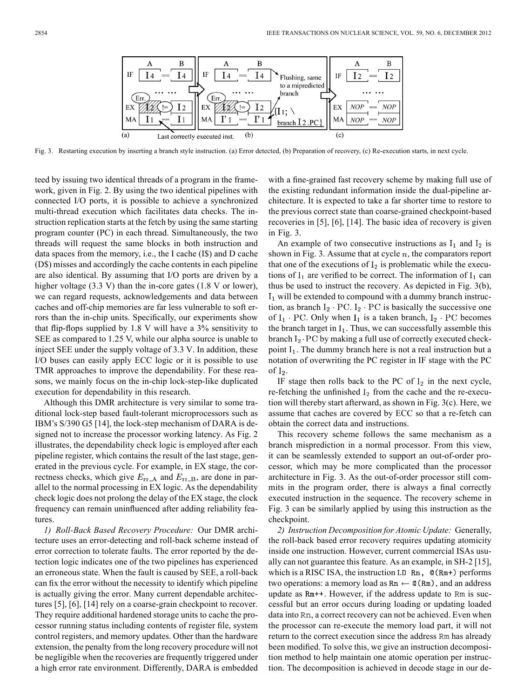

Fig. 3. Restarting execution by inserting a branch style instruction. (a) Error detected, (b) Preparation of recovery, (c) Re-execution starts, in next cycle.

teed by issuing two identical threads of a program in the framework, given in Fig. 2. By using the two identical pipelines with connected I/O ports, it is possible to achieve a synchronized multi-thread execution which facilitates data checks. The instruction replication starts at the fetch by using the same starting program counter (PC) in each thread. Simultaneously, the two threads will request the same blocks in both instruction and data spaces from the memory, i.e., the I cache (I\$) and D cache (D\$) misses and accordingly the cache contents in each pipeline are also identical. By assuming that I/O ports are driven by a higher voltage (3.3 V) than the in-core gates (1.8 V or lower), we can regard requests, acknowledgements and data between caches and off-chip memories are far less vulnerable to soft errors than the in-chip units. Specifically, our experiments show that flip-flops supplied by 1.8 V will have a 3% sensitivity to SEE as compared to 1.25 V, while our alpha source is unable to inject SEE under the supply voltage of 3.3 V. In addition, these I/O buses can easily apply ECC logic or it is possible to use TMR approaches to improve the dependability. For these reasons, we mainly focus on the in-chip lock-step-like duplicated execution for dependability in this research.

Although this DMR architecture is very similar to some traditional lock-step based fault-tolerant microprocessors such as IBM's S/390 G5 [14], the lock-step mechanism of DARA is designed not to increase the processor working latency. As Fig. 2 illustrates, the dependability check logic is employed after each pipeline register, which contains the result of the last stage, generated in the previous cycle. For example, in EX stage, the correctness checks, which give  $E_{rr,A}$  and  $E_{rr,B}$ , are done in parallel to the normal processing in EX logic. As the dependability check logic does not prolong the delay of the EX stage, the clock frequency can remain uninfluenced after adding reliability features.

*1) Roll-Back Based Recovery Procedure:* Our DMR architecture uses an error-detecting and roll-back scheme instead of error correction to tolerate faults. The error reported by the detection logic indicates one of the two pipelines has experienced an erroneous state. When the fault is caused by SEE, a roll-back can fix the error without the necessity to identify which pipeline is actually giving the error. Many current dependable architectures [5], [6], [14] rely on a coarse-grain checkpoint to recover. They require additional hardened storage units to cache the processor running status including contents of register file, system control registers, and memory updates. Other than the hardware extension, the penalty from the long recovery procedure will not be negligible when the recoveries are frequently triggered under a high error rate environment. Differently, DARA is embedded

with a fine-grained fast recovery scheme by making full use of the existing redundant information inside the dual-pipeline architecture. It is expected to take a far shorter time to restore to the previous correct state than coarse-grained checkpoint-based recoveries in [5], [6], [14]. The basic idea of recovery is given in Fig. 3.

An example of two consecutive instructions as  $I_1$  and  $I_2$  is shown in Fig. 3. Assume that at cycle  $n$ , the comparators report that one of the executions of  $I_2$  is problematic while the executions of  $I_1$  are verified to be correct. The information of  $I_1$  can thus be used to instruct the recovery. As depicted in Fig. 3(b),  $I_1$  will be extended to compound with a dummy branch instruction, as branch  $I_2 \cdot PC$ .  $I_2 \cdot PC$  is basically the successive one of  $I_1$  · PC. Only when  $I_1$  is a taken branch,  $I_2$  · PC becomes the branch target in  $I_1$ . Thus, we can successfully assemble this branch  $I_2$ . PC by making a full use of correctly executed checkpoint  $I_1$ . The dummy branch here is not a real instruction but a notation of overwriting the PC register in IF stage with the PC of  $I_2$ .

IF stage then rolls back to the PC of  $I_2$  in the next cycle, re-fetching the unfinished  $I_2$  from the cache and the re-execution will thereby start afterward, as shown in Fig. 3(c). Here, we assume that caches are covered by ECC so that a re-fetch can obtain the correct data and instructions.

This recovery scheme follows the same mechanism as a branch misprediction in a normal processor. From this view, it can be seamlessly extended to support an out-of-order processor, which may be more complicated than the processor architecture in Fig. 3. As the out-of-order processor still commits in the program order, there is always a final correctly executed instruction in the sequence. The recovery scheme in Fig. 3 can be similarly applied by using this instruction as the checkpoint.

*2) Instruction Decomposition for Atomic Update:* Generally, the roll-back based error recovery requires updating atomicity inside one instruction. However, current commercial ISAs usually can not guarantee this feature. As an example, in SH-2 [15], which is a RISC ISA, the instruction LD  $\ell$ Rn,  $\mathcal{Q}(\ell m +)$  performs two operations: a memory load as  $\text{Rn} \leftarrow \mathcal{Q}(\text{Rm})$ , and an address update as  $Rm++$ . However, if the address update to  $Rm$  is successful but an error occurs during loading or updating loaded data into Rn, a correct recovery can not be achieved. Even when the processor can re-execute the memory load part, it will not return to the correct execution since the address Rm has already been modified. To solve this, we give an instruction decomposition method to help maintain one atomic operation per instruction. The decomposition is achieved in decode stage in our de-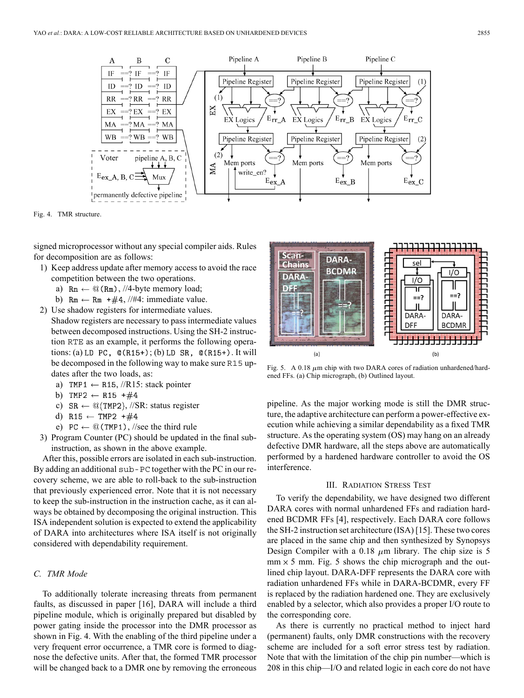

Fig. 4. TMR structure.

signed microprocessor without any special compiler aids. Rules for decomposition are as follows:

- 1) Keep address update after memory access to avoid the race competition between the two operations.
	- a) Rn  $\leftarrow \mathcal{Q}(Rm)$ , //4-byte memory load;
	- b) Rm  $\leftarrow$  Rm  $+ \#4$ , //#4: immediate value.
- 2) Use shadow registers for intermediate values. Shadow registers are necessary to pass intermediate values between decomposed instructions. Using the SH-2 instruction RTE as an example, it performs the following operations: (a) LD PC,  $\mathcal{Q}(R15+)$ ; (b) LD SR,  $\mathcal{Q}(R15+)$ . It will be decomposed in the following way to make sure R15 updates after the two loads, as:
	- a) TMP1  $\leftarrow$  R15, //R15: stack pointer
	- b) TMP2  $\leftarrow$  R15 +#4
	- c)  $SR \leftarrow \mathcal{Q}(TMP2), // SR: status register$
	- d) R15  $\leftarrow$  TMP2 +#4
	- e)  $PC \leftarrow \textcircled{a}$  (TMP1), //see the third rule
- 3) Program Counter (PC) should be updated in the final subinstruction, as shown in the above example.

After this, possible errors are isolated in each sub-instruction. By adding an additional sub-PC together with the PC in our recovery scheme, we are able to roll-back to the sub-instruction that previously experienced error. Note that it is not necessary to keep the sub-instruction in the instruction cache, as it can always be obtained by decomposing the original instruction. This ISA independent solution is expected to extend the applicability of DARA into architectures where ISA itself is not originally considered with dependability requirement.

# *C. TMR Mode*

To additionally tolerate increasing threats from permanent faults, as discussed in paper [16], DARA will include a third pipeline module, which is originally prepared but disabled by power gating inside the processor into the DMR processor as shown in Fig. 4. With the enabling of the third pipeline under a very frequent error occurrence, a TMR core is formed to diagnose the defective units. After that, the formed TMR processor will be changed back to a DMR one by removing the erroneous



Fig. 5. A 0.18  $\mu$ m chip with two DARA cores of radiation unhardened/hardened FFs. (a) Chip micrograph, (b) Outlined layout.

pipeline. As the major working mode is still the DMR structure, the adaptive architecture can perform a power-effective execution while achieving a similar dependability as a fixed TMR structure. As the operating system (OS) may hang on an already defective DMR hardware, all the steps above are automatically performed by a hardened hardware controller to avoid the OS interference.

# III. RADIATION STRESS TEST

To verify the dependability, we have designed two different DARA cores with normal unhardened FFs and radiation hardened BCDMR FFs [4], respectively. Each DARA core follows the SH-2 instruction set architecture (ISA) [15]. These two cores are placed in the same chip and then synthesized by Synopsys Design Compiler with a 0.18  $\mu$ m library. The chip size is 5  $mm \times 5$  mm. Fig. 5 shows the chip micrograph and the outlined chip layout. DARA-DFF represents the DARA core with radiation unhardened FFs while in DARA-BCDMR, every FF is replaced by the radiation hardened one. They are exclusively enabled by a selector, which also provides a proper I/O route to the corresponding core.

As there is currently no practical method to inject hard (permanent) faults, only DMR constructions with the recovery scheme are included for a soft error stress test by radiation. Note that with the limitation of the chip pin number—which is 208 in this chip—I/O and related logic in each core do not have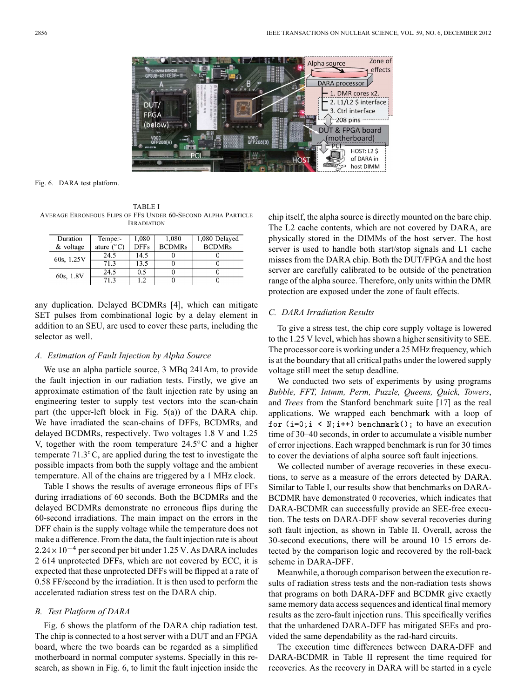

Fig. 6. DARA test platform.

TABLE I AVERAGE ERRONEOUS FLIPS OF FFS UNDER 60-SECOND ALPHA PARTICLE IRRADIATION

| Duration   | Temper-             | 1,080       | 1,080         | 1,080 Delayed |
|------------|---------------------|-------------|---------------|---------------|
| & voltage  | ature $(^{\circ}C)$ | <b>DFFs</b> | <b>BCDMRs</b> | <b>BCDMRs</b> |
| 60s, 1.25V | 24.5                | 14.5        |               |               |
|            | 71.3                | 13.5        |               |               |
| 60s, 1.8V  | 24.5                | 0.5         |               |               |
|            | 713                 | .2          |               |               |

any duplication. Delayed BCDMRs [4], which can mitigate SET pulses from combinational logic by a delay element in addition to an SEU, are used to cover these parts, including the selector as well.

## *A. Estimation of Fault Injection by Alpha Source*

We use an alpha particle source, 3 MBq 241Am, to provide the fault injection in our radiation tests. Firstly, we give an approximate estimation of the fault injection rate by using an engineering tester to supply test vectors into the scan-chain part (the upper-left block in Fig. 5(a)) of the DARA chip. We have irradiated the scan-chains of DFFs, BCDMRs, and delayed BCDMRs, respectively. Two voltages 1.8 V and 1.25 V, together with the room temperature  $24.5^{\circ}$ C and a higher temperate  $71.3^{\circ}$ C, are applied during the test to investigate the possible impacts from both the supply voltage and the ambient temperature. All of the chains are triggered by a 1 MHz clock.

Table I shows the results of average erroneous flips of FFs during irradiations of 60 seconds. Both the BCDMRs and the delayed BCDMRs demonstrate no erroneous flips during the 60-second irradiations. The main impact on the errors in the DFF chain is the supply voltage while the temperature does not make a difference. From the data, the fault injection rate is about  $2.24 \times 10^{-4}$  per second per bit under 1.25 V. As DARA includes 2 614 unprotected DFFs, which are not covered by ECC, it is expected that these unprotected DFFs will be flipped at a rate of 0.58 FF/second by the irradiation. It is then used to perform the accelerated radiation stress test on the DARA chip.

# *B. Test Platform of DARA*

Fig. 6 shows the platform of the DARA chip radiation test. The chip is connected to a host server with a DUT and an FPGA board, where the two boards can be regarded as a simplified motherboard in normal computer systems. Specially in this research, as shown in Fig. 6, to limit the fault injection inside the

chip itself, the alpha source is directly mounted on the bare chip. The L2 cache contents, which are not covered by DARA, are physically stored in the DIMMs of the host server. The host server is used to handle both start/stop signals and L1 cache misses from the DARA chip. Both the DUT/FPGA and the host server are carefully calibrated to be outside of the penetration range of the alpha source. Therefore, only units within the DMR protection are exposed under the zone of fault effects.

## *C. DARA Irradiation Results*

To give a stress test, the chip core supply voltage is lowered to the 1.25 V level, which has shown a higher sensitivity to SEE. The processor core is working under a 25 MHz frequency, which is at the boundary that all critical paths under the lowered supply voltage still meet the setup deadline.

We conducted two sets of experiments by using programs *Bubble, FFT, Intmm, Perm, Puzzle, Queens, Quick, Towers*, and *Trees* from the Stanford benchmark suite [17] as the real applications. We wrapped each benchmark with a loop of for  $(i=0; i \le N; i++)$  benchmark(); to have an execution time of 30–40 seconds, in order to accumulate a visible number of error injections. Each wrapped benchmark is run for 30 times to cover the deviations of alpha source soft fault injections.

We collected number of average recoveries in these executions, to serve as a measure of the errors detected by DARA. Similar to Table I, our results show that benchmarks on DARA-BCDMR have demonstrated 0 recoveries, which indicates that DARA-BCDMR can successfully provide an SEE-free execution. The tests on DARA-DFF show several recoveries during soft fault injection, as shown in Table II. Overall, across the 30-second executions, there will be around 10–15 errors detected by the comparison logic and recovered by the roll-back scheme in DARA-DFF.

Meanwhile, a thorough comparison between the execution results of radiation stress tests and the non-radiation tests shows that programs on both DARA-DFF and BCDMR give exactly same memory data access sequences and identical final memory results as the zero-fault injection runs. This specifically verifies that the unhardened DARA-DFF has mitigated SEEs and provided the same dependability as the rad-hard circuits.

The execution time differences between DARA-DFF and DARA-BCDMR in Table II represent the time required for recoveries. As the recovery in DARA will be started in a cycle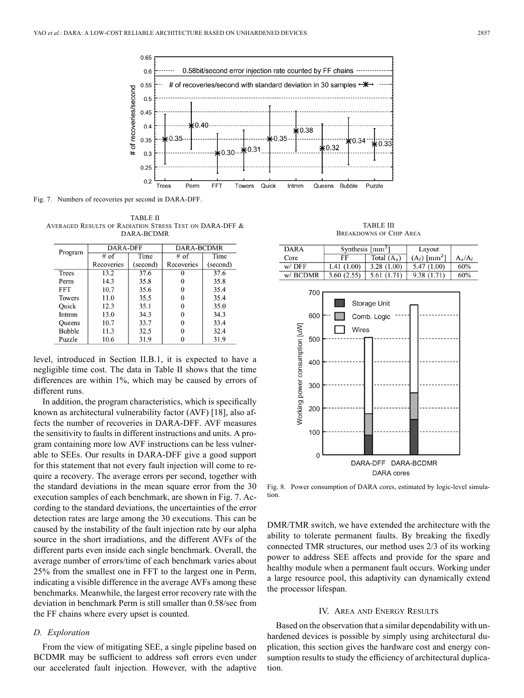

Fig. 7. Numbers of recoveries per second in DARA-DFF.

TABLE II AVERAGED RESULTS OF RADIATION STRESS TEST ON DARA-DFF & DARA-BCDMR

| Program    | DARA-DFF        |          | DARA-BCDMR |          |  |
|------------|-----------------|----------|------------|----------|--|
|            | $# \text{ of }$ | Time     | $#$ of     | Time     |  |
|            | Recoveries      | (second) | Recoveries | (second) |  |
| Trees      | 13.2            | 37.6     | 0          | 37.6     |  |
| Perm       | 14.3            | 35.8     | 0          | 35.8     |  |
| <b>FFT</b> | 10.7            | 35.6     | 0          | 35.4     |  |
| Towers     | 11.0            | 35.5     | 0          | 35.4     |  |
| Ouick      | 12.3            | 35.1     | 0          | 35.0     |  |
| Intmm      | 13.0            | 34.3     | 0          | 34.3     |  |
| Oueens     | 10.7            | 33.7     | 0          | 33.4     |  |
| Bubble     | 11.3            | 32.5     | 0          | 32.4     |  |
| Puzzle     | 10.6            | 31.9     |            | 31.9     |  |

level, introduced in Section II.B.1, it is expected to have a negligible time cost. The data in Table II shows that the time differences are within 1%, which may be caused by errors of different runs.

In addition, the program characteristics, which is specifically known as architectural vulnerability factor (AVF) [18], also affects the number of recoveries in DARA-DFF. AVF measures the sensitivity to faults in different instructions and units. A program containing more low AVF instructions can be less vulnerable to SEEs. Our results in DARA-DFF give a good support for this statement that not every fault injection will come to require a recovery. The average errors per second, together with the standard deviations in the mean square error from the 30 execution samples of each benchmark, are shown in Fig. 7. According to the standard deviations, the uncertainties of the error detection rates are large among the 30 executions. This can be caused by the instability of the fault injection rate by our alpha source in the short irradiations, and the different AVFs of the different parts even inside each single benchmark. Overall, the average number of errors/time of each benchmark varies about 25% from the smallest one in FFT to the largest one in Perm, indicating a visible difference in the average AVFs among these benchmarks. Meanwhile, the largest error recovery rate with the deviation in benchmark Perm is still smaller than 0.58/sec from the FF chains where every upset is counted.

#### *D. Exploration*

From the view of mitigating SEE, a single pipeline based on BCDMR may be sufficient to address soft errors even under our accelerated fault injection. However, with the adaptive

TABLE III BREAKDOWNS OF CHIP AREA

| <b>DARA</b> | Synthesis $\lceil \text{mm}^2 \rceil$ |               | Layout                     |           |
|-------------|---------------------------------------|---------------|----------------------------|-----------|
| Core        | FF                                    | Total $(A_s)$ | $(A_l)$ [mm <sup>2</sup> ] | $A_s/A_l$ |
| $w/$ DFF    | 1.41(1.00)                            | 3.28(1.00)    | 5.47 (1.00)                | 60%       |
| $w/$ BCDMR  | 3.60(2.55)                            | 5.61 (1.71)   | 9.38(1.71)                 | 60%       |



Fig. 8. Power consumption of DARA cores, estimated by logic-level simulation.

DMR/TMR switch, we have extended the architecture with the ability to tolerate permanent faults. By breaking the fixedly connected TMR structures, our method uses 2/3 of its working power to address SEE affects and provide for the spare and healthy module when a permanent fault occurs. Working under a large resource pool, this adaptivity can dynamically extend the processor lifespan.

#### IV. AREA AND ENERGY RESULTS

Based on the observation that a similar dependability with unhardened devices is possible by simply using architectural duplication, this section gives the hardware cost and energy consumption results to study the efficiency of architectural duplication.